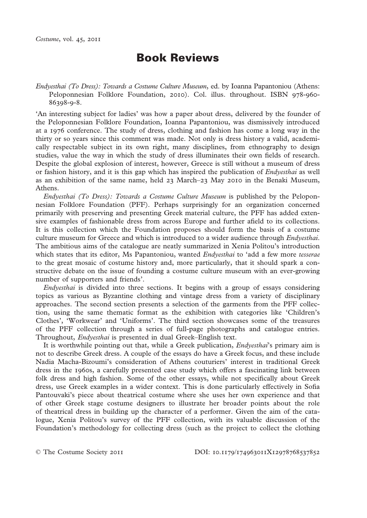# **Book Reviews**

*Endyesthai (To Dress): Towards a Costume Culture Museum*, ed. by Ioanna Papantoniou (Athens: Peloponnesian Folklore Foundation, 2010). Col. illus. throughout. ISBN 978-960- 86398-9-8.

'An interesting subject for ladies' was how a paper about dress, delivered by the founder of the Peloponnesian Folklore Foundation, Ioanna Papantoniou, was dismissively introduced at a 1976 conference. The study of dress, clothing and fashion has come a long way in the thirty or so years since this comment was made. Not only is dress history a valid, academically respectable subject in its own right, many disciplines, from ethnography to design studies, value the way in which the study of dress illuminates their own fields of research. Despite the global explosion of interest, however, Greece is still without a museum of dress or fashion history, and it is this gap which has inspired the publication of *Endyesthai* as well as an exhibition of the same name, held 23 March–23 May 2010 in the Benaki Museum, Athens.

*Endyesthai (To Dress): Towards a Costume Culture Museum* is published by the Peloponnesian Folklore Foundation (PFF). Perhaps surprisingly for an organization concerned primarily with preserving and presenting Greek material culture, the PFF has added extensive examples of fashionable dress from across Europe and further afield to its collections. It is this collection which the Foundation proposes should form the basis of a costume culture museum for Greece and which is introduced to a wider audience through *Endyesthai*. The ambitious aims of the catalogue are neatly summarized in Xenia Politou's introduction which states that its editor, Ms Papantoniou, wanted *Endyesthai* to 'add a few more *tesserae* to the great mosaic of costume history and, more particularly, that it should spark a constructive debate on the issue of founding a costume culture museum with an ever-growing number of supporters and friends'.

*Endyesthai* is divided into three sections. It begins with a group of essays considering topics as various as Byzantine clothing and vintage dress from a variety of disciplinary approaches. The second section presents a selection of the garments from the PFF collection, using the same thematic format as the exhibition with categories like 'Children's Clothes', 'Workwear' and 'Uniforms'. The third section showcases some of the treasures of the PFF collection through a series of full-page photographs and catalogue entries. Throughout, *Endyesthai* is presented in dual Greek–English text.

It is worthwhile pointing out that, while a Greek publication, *Endyesthai*'s primary aim is not to describe Greek dress. A couple of the essays do have a Greek focus, and these include Nadia Macha-Bizoumi's consideration of Athens couturiers' interest in traditional Greek dress in the 1960s, a carefully presented case study which offers a fascinating link between folk dress and high fashion. Some of the other essays, while not specifically about Greek dress, use Greek examples in a wider context. This is done particularly effectively in Sofia Pantouvaki's piece about theatrical costume where she uses her own experience and that of other Greek stage costume designers to illustrate her broader points about the role of theatrical dress in building up the character of a performer. Given the aim of the catalogue, Xenia Politou's survey of the PFF collection, with its valuable discussion of the Foundation's methodology for collecting dress (such as the project to collect the clothing

© The Costume Society 2011 DOI: 10.1179/174963011X12978768537852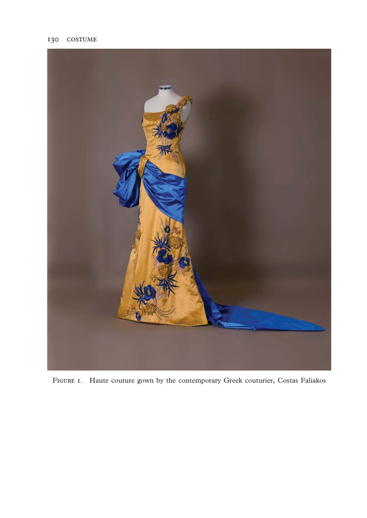

FIGURE I. Haute couture gown by the contemporary Greek couturier, Costas Faliakos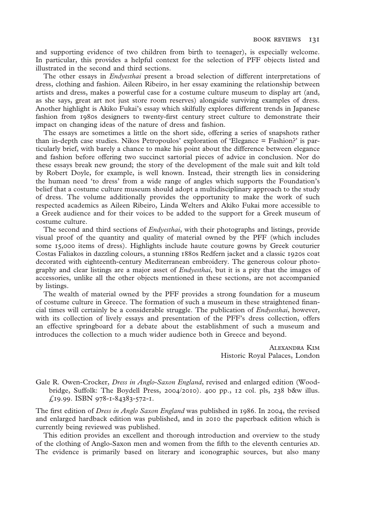and supporting evidence of two children from birth to teenager), is especially welcome. In particular, this provides a helpful context for the selection of PFF objects listed and illustrated in the second and third sections.

The other essays in *Endyesthai* present a broad selection of different interpretations of dress, clothing and fashion. Aileen Ribeiro, in her essay examining the relationship between artists and dress, makes a powerful case for a costume culture museum to display art (and, as she says, great art not just store room reserves) alongside surviving examples of dress. Another highlight is Akiko Fukai's essay which skilfully explores different trends in Japanese fashion from 1980s designers to twenty-first century street culture to demonstrate their impact on changing ideas of the nature of dress and fashion.

The essays are sometimes a little on the short side, offering a series of snapshots rather than in-depth case studies. Nikos Petropoulos' exploration of 'Elegance = Fashion?' is particularly brief, with barely a chance to make his point about the difference between elegance and fashion before offering two succinct sartorial pieces of advice in conclusion. Nor do these essays break new ground; the story of the development of the male suit and kilt told by Robert Doyle, for example, is well known. Instead, their strength lies in considering the human need 'to dress' from a wide range of angles which supports the Foundation's belief that a costume culture museum should adopt a multidisciplinary approach to the study of dress. The volume additionally provides the opportunity to make the work of such respected academics as Aileen Ribeiro, Linda Welters and Akiko Fukai more accessible to a Greek audience and for their voices to be added to the support for a Greek museum of costume culture.

The second and third sections of *Endyesthai*, with their photographs and listings, provide visual proof of the quantity and quality of material owned by the PFF (which includes some 15,000 items of dress). Highlights include haute couture gowns by Greek couturier Costas Faliakos in dazzling colours, a stunning 1880s Redfern jacket and a classic 1920s coat decorated with eighteenth-century Mediterranean embroidery. The generous colour photography and clear listings are a major asset of *Endyesthai*, but it is a pity that the images of accessories, unlike all the other objects mentioned in these sections, are not accompanied by listings.

The wealth of material owned by the PFF provides a strong foundation for a museum of costume culture in Greece. The formation of such a museum in these straightened financial times will certainly be a considerable struggle. The publication of *Endyesthai*, however, with its collection of lively essays and presentation of the PFF's dress collection, offers an effective springboard for a debate about the establishment of such a museum and introduces the collection to a much wider audience both in Greece and beyond.

> ALEXANDRA KIM Historic Royal Palaces, London

Gale R. Owen-Crocker, *Dress in Anglo-Saxon England*, revised and enlarged edition (Woodbridge, Suffolk: The Boydell Press, 2004/2010). 400 pp., 12 col. pls, 238 b&w illus. £19.99. ISBN 978-1-84383-572-1.

The first edition of *Dress in Anglo Saxon England* was published in 1986. In 2004, the revised and enlarged hardback edition was published, and in 2010 the paperback edition which is currently being reviewed was published.

This edition provides an excellent and thorough introduction and overview to the study of the clothing of Anglo-Saxon men and women from the fifth to the eleventh centuries AD. The evidence is primarily based on literary and iconographic sources, but also many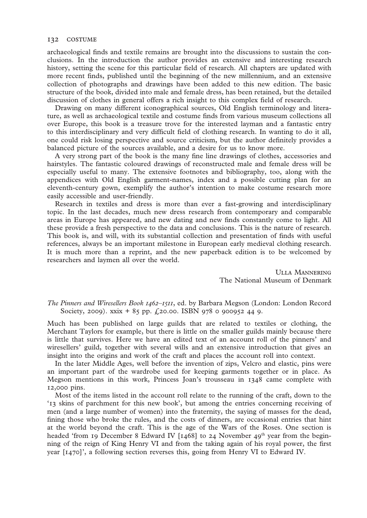archaeological finds and textile remains are brought into the discussions to sustain the conclusions. In the introduction the author provides an extensive and interesting research history, setting the scene for this particular field of research. All chapters are updated with more recent finds, published until the beginning of the new millennium, and an extensive collection of photographs and drawings have been added to this new edition. The basic structure of the book, divided into male and female dress, has been retained, but the detailed discussion of clothes in general offers a rich insight to this complex field of research.

Drawing on many different iconographical sources, Old English terminology and literature, as well as archaeological textile and costume finds from various museum collections all over Europe, this book is a treasure trove for the interested layman and a fantastic entry to this interdisciplinary and very difficult field of clothing research. In wanting to do it all, one could risk losing perspective and source criticism, but the author definitely provides a balanced picture of the sources available, and a desire for us to know more.

A very strong part of the book is the many fine line drawings of clothes, accessories and hairstyles. The fantastic coloured drawings of reconstructed male and female dress will be especially useful to many. The extensive footnotes and bibliography, too, along with the appendices with Old English garment-names, index and a possible cutting plan for an eleventh-century gown, exemplify the author's intention to make costume research more easily accessible and user-friendly.

Research in textiles and dress is more than ever a fast-growing and interdisciplinary topic. In the last decades, much new dress research from contemporary and comparable areas in Europe has appeared, and new dating and new finds constantly come to light. All these provide a fresh perspective to the data and conclusions. This is the nature of research. This book is, and will, with its substantial collection and presentation of finds with useful references, always be an important milestone in European early medieval clothing research. It is much more than a reprint, and the new paperback edition is to be welcomed by researchers and laymen all over the world.

> **ULLA MANNERING** The National Museum of Denmark

## *The Pinners and Wiresellers Book 1462–1511*, ed. by Barbara Megson (London: London Record Society, 2009). xxix + 85 pp. £20.00. ISBN 978 0 900952 44 9.

Much has been published on large guilds that are related to textiles or clothing, the Merchant Taylors for example, but there is little on the smaller guilds mainly because there is little that survives. Here we have an edited text of an account roll of the pinners' and wiresellers' guild, together with several wills and an extensive introduction that gives an insight into the origins and work of the craft and places the account roll into context.

In the later Middle Ages, well before the invention of zips, Velcro and elastic, pins were an important part of the wardrobe used for keeping garments together or in place. As Megson mentions in this work, Princess Joan's trousseau in 1348 came complete with 12,000 pins.

Most of the items listed in the account roll relate to the running of the craft, down to the '13 skins of parchment for this new book', but among the entries concerning receiving of men (and a large number of women) into the fraternity, the saying of masses for the dead, fining those who broke the rules, and the costs of dinners, are occasional entries that hint at the world beyond the craft. This is the age of the Wars of the Roses. One section is headed 'from 19 December 8 Edward IV [1468] to 24 November  $49<sup>th</sup>$  year from the beginning of the reign of King Henry VI and from the taking again of his royal power, the first year [1470]', a following section reverses this, going from Henry VI to Edward IV.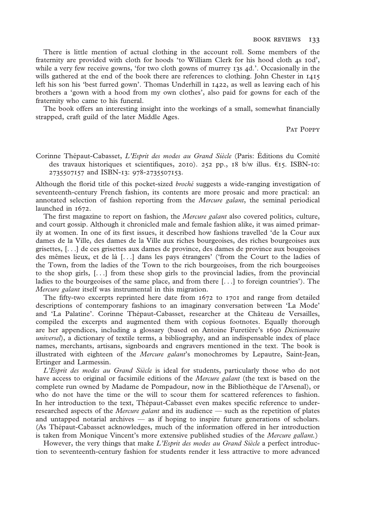There is little mention of actual clothing in the account roll. Some members of the fraternity are provided with cloth for hoods 'to William Clerk for his hood cloth 4s 10d', while a very few receive gowns, 'for two cloth gowns of murrey 13s 4d.'. Occasionally in the wills gathered at the end of the book there are references to clothing. John Chester in 1415 left his son his 'best furred gown'. Thomas Underhill in 1422, as well as leaving each of his brothers a 'gown with a hood from my own clothes', also paid for gowns for each of the fraternity who came to his funeral.

The book offers an interesting insight into the workings of a small, somewhat financially strapped, craft guild of the later Middle Ages.

PAT POPPY

Corinne Thépaut-Cabasset, *L'Esprit des modes au Grand Siècle* (Paris: Éditions du Comité des travaux historiques et scientifiques, 2010). 252 pp., 18 b/w illus.  $\epsilon$ 15. ISBN-10: 2735507157 and ISBN-13: 978-2735507153.

Although the florid title of this pocket-sized *broché* suggests a wide-ranging investigation of seventeenth-century French fashion, its contents are more prosaic and more practical: an annotated selection of fashion reporting from the *Mercure galant*, the seminal periodical launched in 1672.

The first magazine to report on fashion, the *Mercure galant* also covered politics, culture, and court gossip. Although it chronicled male and female fashion alike, it was aimed primarily at women. In one of its first issues, it described how fashions travelled 'de la Cour aux dames de la Ville, des dames de la Ville aux riches bourgeoises, des riches bourgeoises aux grisettes, [. . .] de ces grisettes aux dames de province, des dames de province aux bougeoises des mêmes lieux, et de là [. . .] dans les pays étrangers' ('from the Court to the ladies of the Town, from the ladies of the Town to the rich bourgeoises, from the rich bourgeoises to the shop girls, [. . .] from these shop girls to the provincial ladies, from the provincial ladies to the bourgeoises of the same place, and from there [...] to foreign countries'). The *Mercure galant* itself was instrumental in this migration.

The fifty-two excerpts reprinted here date from  $1672$  to  $1701$  and range from detailed descriptions of contemporary fashions to an imaginary conversation between 'La Mode' and 'La Palatine'. Corinne Thépaut-Cabasset, researcher at the Château de Versailles, compiled the excerpts and augmented them with copious footnotes. Equally thorough are her appendices, including a glossary (based on Antoine Furetière's 1690 *Dictionnaire universel*), a dictionary of textile terms, a bibliography, and an indispensable index of place names, merchants, artisans, signboards and engravers mentioned in the text. The book is illustrated with eighteen of the *Mercure galant*'s monochromes by Lepautre, Saint-Jean, Ertinger and Larmessin.

*L'Esprit des modes au Grand Siècle* is ideal for students, particularly those who do not have access to original or facsimile editions of the *Mercure galant* (the text is based on the complete run owned by Madame de Pompadour, now in the Bibliothèque de l'Arsenal), or who do not have the time or the will to scour them for scattered references to fashion. In her introduction to the text, Thépaut-Cabasset even makes specific reference to underresearched aspects of the *Mercure galant* and its audience — such as the repetition of plates and untapped notarial archives — as if hoping to inspire future generations of scholars. (As Thépaut-Cabasset acknowledges, much of the information offered in her introduction is taken from Monique Vincent's more extensive published studies of the *Mercure gallant.*)

However, the very things that make *L'Esprit des modes au Grand Siècle* a perfect introduction to seventeenth-century fashion for students render it less attractive to more advanced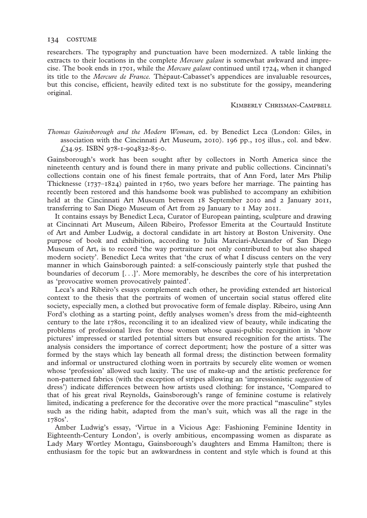researchers. The typography and punctuation have been modernized. A table linking the extracts to their locations in the complete *Mercure galant* is somewhat awkward and imprecise. The book ends in 1701, while the *Mercure galant* continued until 1724, when it changed its title to the *Mercure de France.* Thépaut-Cabasset's appendices are invaluable resources, but this concise, efficient, heavily edited text is no substitute for the gossipy, meandering original.

#### KIMBERLY CHRISMAN-CAMPBELL

*Thomas Gainsborough and the Modern Woman*, ed. by Benedict Leca (London: Giles, in association with the Cincinnati Art Museum, 2010). 196 pp., 105 illus., col. and b&w.  $£34.95. ISBN 978-1-904832-85-0.$ 

Gainsborough's work has been sought after by collectors in North America since the nineteenth century and is found there in many private and public collections. Cincinnati's collections contain one of his finest female portraits, that of Ann Ford, later Mrs Philip Thicknesse (1737–1824) painted in 1760, two years before her marriage. The painting has recently been restored and this handsome book was published to accompany an exhibition held at the Cincinnati Art Museum between 18 September 2010 and 2 January 2011, transferring to San Diego Museum of Art from 29 January to 1 May 2011.

It contains essays by Benedict Leca, Curator of European painting, sculpture and drawing at Cincinnati Art Museum, Aileen Ribeiro, Professor Emerita at the Courtauld Institute of Art and Amber Ludwig, a doctoral candidate in art history at Boston University. One purpose of book and exhibition, according to Julia Marciari-Alexander of San Diego Museum of Art, is to record 'the way portraiture not only contributed to but also shaped modern society'. Benedict Leca writes that 'the crux of what I discuss centers on the very manner in which Gainsborough painted: a self-consciously painterly style that pushed the boundaries of decorum [. . .]'. More memorably, he describes the core of his interpretation as 'provocative women provocatively painted'.

Leca's and Ribeiro's essays complement each other, he providing extended art historical context to the thesis that the portraits of women of uncertain social status offered elite society, especially men, a clothed but provocative form of female display. Ribeiro, using Ann Ford's clothing as a starting point, deftly analyses women's dress from the mid-eighteenth century to the late 1780s, reconciling it to an idealized view of beauty, while indicating the problems of professional lives for those women whose quasi-public recognition in 'show pictures' impressed or startled potential sitters but ensured recognition for the artists. The analysis considers the importance of correct deportment; how the posture of a sitter was formed by the stays which lay beneath all formal dress; the distinction between formality and informal or unstructured clothing worn in portraits by securely elite women or women whose 'profession' allowed such laxity. The use of make-up and the artistic preference for non-patterned fabrics (with the exception of stripes allowing an 'impressionistic *suggestion* of dress') indicate differences between how artists used clothing: for instance, 'Compared to that of his great rival Reynolds, Gainsborough's range of feminine costume is relatively limited, indicating a preference for the decorative over the more practical "masculine" styles such as the riding habit, adapted from the man's suit, which was all the rage in the 1780s'.

Amber Ludwig's essay, 'Virtue in a Vicious Age: Fashioning Feminine Identity in Eighteenth-Century London', is overly ambitious, encompassing women as disparate as Lady Mary Wortley Montagu, Gainsborough's daughters and Emma Hamilton; there is enthusiasm for the topic but an awkwardness in content and style which is found at this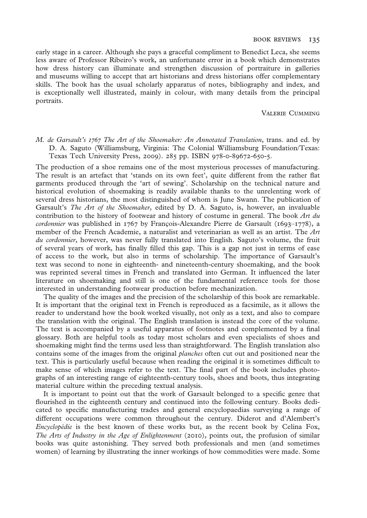#### BOOK REVIEWS 135

early stage in a career. Although she pays a graceful compliment to Benedict Leca, she seems less aware of Professor Ribeiro's work, an unfortunate error in a book which demonstrates how dress history can illuminate and strengthen discussion of portraiture in galleries and museums willing to accept that art historians and dress historians offer complementary skills. The book has the usual scholarly apparatus of notes, bibliography and index, and is exceptionally well illustrated, mainly in colour, with many details from the principal portraits.

VALERIE CHMMING

# *M. de Garsault's 1767 The Art of the Shoemaker: An Annotated Translation*, trans. and ed. by D. A. Saguto (Williamsburg, Virginia: The Colonial Williamsburg Foundation/Texas: Texas Tech University Press, 2009). 285 pp. ISBN 978-0-89672-650-5.

The production of a shoe remains one of the most mysterious processes of manufacturing. The result is an artefact that 'stands on its own feet', quite different from the rather flat garments produced through the 'art of sewing'. Scholarship on the technical nature and historical evolution of shoemaking is readily available thanks to the unrelenting work of several dress historians, the most distinguished of whom is June Swann. The publication of Garsault's *The Art of the Shoemaker*, edited by D. A. Saguto, is, however, an invaluable contribution to the history of footwear and history of costume in general. The book *Art du cordonnier* was published in 1767 by François-Alexandre Pierre de Garsault (1693–1778), a member of the French Academie, a naturalist and veterinarian as well as an artist. The *Art du cordonnier*, however, was never fully translated into English. Saguto's volume, the fruit of several years of work, has finally filled this gap. This is a gap not just in terms of ease of access to the work, but also in terms of scholarship. The importance of Garsault's text was second to none in eighteenth- and nineteenth-century shoemaking, and the book was reprinted several times in French and translated into German. It influenced the later literature on shoemaking and still is one of the fundamental reference tools for those interested in understanding footwear production before mechanization.

The quality of the images and the precision of the scholarship of this book are remarkable. It is important that the original text in French is reproduced as a facsimile, as it allows the reader to understand how the book worked visually, not only as a text, and also to compare the translation with the original. The English translation is instead the core of the volume. The text is accompanied by a useful apparatus of footnotes and complemented by a final glossary. Both are helpful tools as today most scholars and even specialists of shoes and shoemaking might find the terms used less than straightforward. The English translation also contains some of the images from the original *planches* often cut out and positioned near the text. This is particularly useful because when reading the original it is sometimes difficult to make sense of which images refer to the text. The final part of the book includes photographs of an interesting range of eighteenth-century tools, shoes and boots, thus integrating material culture within the preceding textual analysis.

It is important to point out that the work of Garsault belonged to a specific genre that flourished in the eighteenth century and continued into the following century. Books dedicated to specific manufacturing trades and general encyclopaedias surveying a range of different occupations were common throughout the century. Diderot and d'Alembert's *Encyclopédie* is the best known of these works but, as the recent book by Celina Fox, *The Arts of Industry in the Age of Enlightenment* (2010), points out, the profusion of similar books was quite astonishing. They served both professionals and men (and sometimes women) of learning by illustrating the inner workings of how commodities were made. Some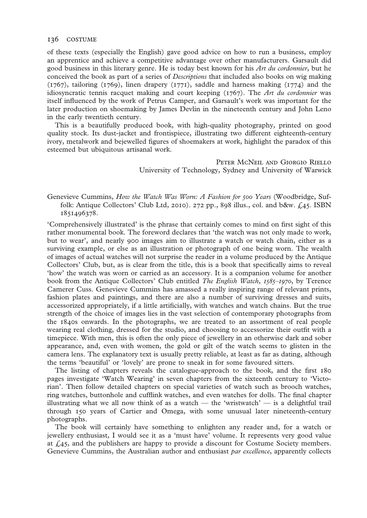of these texts (especially the English) gave good advice on how to run a business, employ an apprentice and achieve a competitive advantage over other manufacturers. Garsault did good business in this literary genre. He is today best known for his *Art du cordonnier*, but he conceived the book as part of a series of *Descriptions* that included also books on wig making (1767), tailoring (1769), linen drapery (1771), saddle and harness making (1774) and the idiosyncratic tennis racquet making and court keeping (1767). The *Art du cordonnier* was itself influenced by the work of Petrus Camper, and Garsault's work was important for the later production on shoemaking by James Devlin in the nineteenth century and John Leno in the early twentieth century.

This is a beautifully produced book, with high-quality photography, printed on good quality stock. Its dust-jacket and frontispiece, illustrating two different eighteenth-century ivory, metalwork and bejewelled figures of shoemakers at work, highlight the paradox of this esteemed but ubiquitous artisanal work.

> PETER MCNEIL AND GIORGIO RIELLO University of Technology, Sydney and University of Warwick

Genevieve Cummins, *How the Watch Was Worn: A Fashion for 500 Years* (Woodbridge, Suffolk: Antique Collectors' Club Ltd, 2010). 272 pp., 898 illus., col. and b&w.  $f.45$ . ISBN 1851496378.

'Comprehensively illustrated' is the phrase that certainly comes to mind on first sight of this rather monumental book. The foreword declares that 'the watch was not only made to work, but to wear', and nearly 900 images aim to illustrate a watch or watch chain, either as a surviving example, or else as an illustration or photograph of one being worn. The wealth of images of actual watches will not surprise the reader in a volume produced by the Antique Collectors' Club, but, as is clear from the title, this is a book that specifically aims to reveal 'how' the watch was worn or carried as an accessory. It is a companion volume for another book from the Antique Collectors' Club entitled *The English Watch, 1585–1970*, by Terence Camerer Cuss. Genevieve Cummins has amassed a really inspiring range of relevant prints, fashion plates and paintings, and there are also a number of surviving dresses and suits, accessorized appropriately, if a little artificially, with watches and watch chains. But the true strength of the choice of images lies in the vast selection of contemporary photographs from the 1840s onwards. In the photographs, we are treated to an assortment of real people wearing real clothing, dressed for the studio, and choosing to accessorize their outfit with a timepiece. With men, this is often the only piece of jewellery in an otherwise dark and sober appearance, and, even with women, the gold or gilt of the watch seems to glisten in the camera lens. The explanatory text is usually pretty reliable, at least as far as dating, although the terms 'beautiful' or 'lovely' are prone to sneak in for some favoured sitters.

The listing of chapters reveals the catalogue-approach to the book, and the first 180 pages investigate 'Watch Wearing' in seven chapters from the sixteenth century to 'Victorian'. Then follow detailed chapters on special varieties of watch such as brooch watches, ring watches, buttonhole and cufflink watches, and even watches for dolls. The final chapter illustrating what we all now think of as a watch — the 'wristwatch' — is a delightful trail through 150 years of Cartier and Omega, with some unusual later nineteenth-century photographs.

The book will certainly have something to enlighten any reader and, for a watch or jewellery enthusiast, I would see it as a 'must have' volume. It represents very good value at  $\text{\emph{£45}}$ , and the publishers are happy to provide a discount for Costume Society members. Genevieve Cummins, the Australian author and enthusiast *par excellence*, apparently collects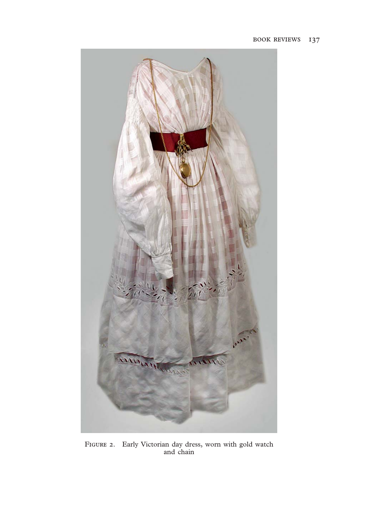

FIGURE 2. Early Victorian day dress, worn with gold watch and chain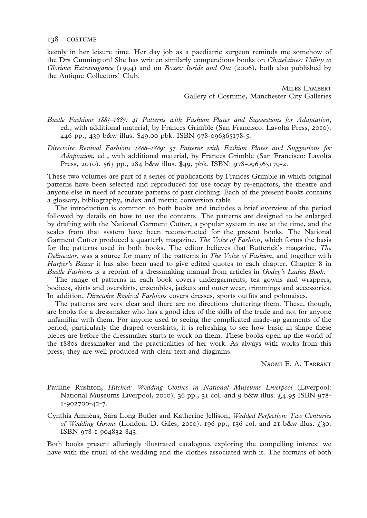keenly in her leisure time. Her day job as a paediatric surgeon reminds me somehow of the Drs Cunnington! She has written similarly compendious books on *Chatelaines: Utility to Glorious Extravagance* (1994) and on *Boxes: Inside and Out* (2006), both also published by the Antique Collectors' Club.

> MILES LAMBERT Gallery of Costume, Manchester City Galleries

- *Bustle Fashions 1885–1887: 41 Patterns with Fashion Plates and Suggestions for Adaptation*, ed., with additional material, by Frances Grimble (San Francisco: Lavolta Press, 2010). 446 pp., 439 b&w illus. \$49.00 pbk. ISBN 978-096365178-5.
- *Directoire Revival Fashions 1888–1889: 57 Patterns with Fashion Plates and Suggestions for Adaptation*, ed., with additional material, by Frances Grimble (San Francisco: Lavolta Press, 2010). 563 pp., 284 b&w illus. \$49, pbk. ISBN: 978-096365179-2.

These two volumes are part of a series of publications by Frances Grimble in which original patterns have been selected and reproduced for use today by re-enactors, the theatre and anyone else in need of accurate patterns of past clothing. Each of the present books contains a glossary, bibliography, index and metric conversion table.

The introduction is common to both books and includes a brief overview of the period followed by details on how to use the contents. The patterns are designed to be enlarged by drafting with the National Garment Cutter, a popular system in use at the time, and the scales from that system have been reconstructed for the present books. The National Garment Cutter produced a quarterly magazine, *The Voice of Fashion*, which forms the basis for the patterns used in both books. The editor believes that Butterick's magazine, *The Delineator*, was a source for many of the patterns in *The Voice of Fashion*, and together with *Harper's Bazar* it has also been used to give edited quotes to each chapter. Chapter 8 in *Bustle Fashions* is a reprint of a dressmaking manual from articles in *Godey's Ladies Book*.

The range of patterns in each book covers undergarments, tea gowns and wrappers, bodices, skirts and overskirts, ensembles, jackets and outer wear, trimmings and accessories. In addition, *Directoire Revival Fashions* covers dresses, sports outfits and polonaises.

The patterns are very clear and there are no directions cluttering them. These, though, are books for a dressmaker who has a good idea of the skills of the trade and not for anyone unfamiliar with them. For anyone used to seeing the complicated made-up garments of the period, particularly the draped overskirts, it is refreshing to see how basic in shape these pieces are before the dressmaker starts to work on them. These books open up the world of the 1880s dressmaker and the practicalities of her work. As always with works from this press, they are well produced with clear text and diagrams.

NAOMI E. A. TARRANT

- Pauline Rushton, *Hitched: Wedding Clothes in National Museums Liverpool* (Liverpool: National Museums Liverpool, 2010). 36 pp., 31 col. and 9 b&w illus. £4.95 ISBN 978- 1-902700-42-7.
- Cynthia Amnéus, Sara Long Butler and Katherine Jellison, *Wedded Perfection: Two Centuries of Wedding Gowns* (London: D. Giles, 2010). 196 pp., 136 col. and 21 b&w illus. £30. ISBN 978-1-904832-843.

Both books present alluringly illustrated catalogues exploring the compelling interest we have with the ritual of the wedding and the clothes associated with it. The formats of both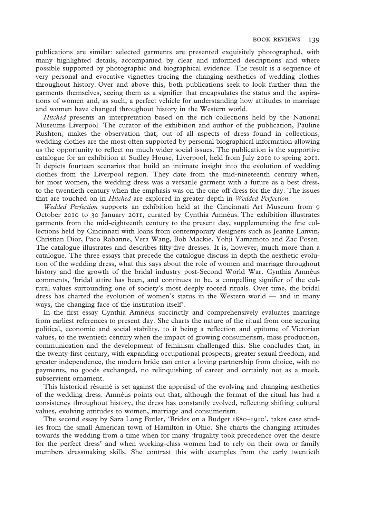publications are similar: selected garments are presented exquisitely photographed, with many highlighted details, accompanied by clear and informed descriptions and where possible supported by photographic and biographical evidence. The result is a sequence of very personal and evocative vignettes tracing the changing aesthetics of wedding clothes throughout history. Over and above this, both publications seek to look further than the garments themselves, seeing them as a signifier that encapsulates the status and the aspirations of women and, as such, a perfect vehicle for understanding how attitudes to marriage and women have changed throughout history in the Western world.

*Hitched* presents an interpretation based on the rich collections held by the National Museums Liverpool. The curator of the exhibition and author of the publication, Pauline Rushton, makes the observation that, out of all aspects of dress found in collections, wedding clothes are the most often supported by personal biographical information allowing us the opportunity to reflect on much wider social issues. The publication is the supportive catalogue for an exhibition at Sudley House, Liverpool, held from July 2010 to spring 2011. It depicts fourteen scenarios that build an intimate insight into the evolution of wedding clothes from the Liverpool region. They date from the mid-nineteenth century when, for most women, the wedding dress was a versatile garment with a future as a best dress, to the twentieth century when the emphasis was on the one-off dress for the day. The issues that are touched on in *Hitched* are explored in greater depth in *Wedded Perfection.*

*Wedded Perfection* supports an exhibition held at the Cincinnati Art Museum from 9 October 2010 to 30 January 2011, curated by Cynthia Amnéus. The exhibition illustrates garments from the mid-eighteenth century to the present day, supplementing the fine collections held by Cincinnati with loans from contemporary designers such as Jeanne Lanvin, Christian Dior, Paco Rabanne, Vera Wang, Bob Mackie, Yohji Yamamoto and Zac Posen. The catalogue illustrates and describes fifty-five dresses. It is, however, much more than a catalogue. The three essays that precede the catalogue discuss in depth the aesthetic evolution of the wedding dress, what this says about the role of women and marriage throughout history and the growth of the bridal industry post-Second World War. Cynthia Amnéus comments, 'bridal attire has been, and continues to be, a compelling signifier of the cultural values surrounding one of society's most deeply rooted rituals. Over time, the bridal dress has charted the evolution of women's status in the Western world — and in many ways, the changing face of the institution itself'.

In the first essay Cynthia Amnéus succinctly and comprehensively evaluates marriage from earliest references to present day. She charts the nature of the ritual from one securing political, economic and social stability, to it being a reflection and epitome of Victorian values, to the twentieth century when the impact of growing consumerism, mass production, communication and the development of feminism challenged this. She concludes that, in the twenty-first century, with expanding occupational prospects, greater sexual freedom, and greater independence, the modern bride can enter a loving partnership from choice, with no payments, no goods exchanged, no relinquishing of career and certainly not as a meek, subservient ornament.

This historical résumé is set against the appraisal of the evolving and changing aesthetics of the wedding dress. Amnéus points out that, although the format of the ritual has had a consistency throughout history, the dress has constantly evolved, reflecting shifting cultural values, evolving attitudes to women, marriage and consumerism.

The second essay by Sara Long Butler, 'Brides on a Budget 1880–1910', takes case studies from the small American town of Hamilton in Ohio. She charts the changing attitudes towards the wedding from a time when for many 'frugality took precedence over the desire for the perfect dress' and when working-class women had to rely on their own or family members dressmaking skills. She contrast this with examples from the early twentieth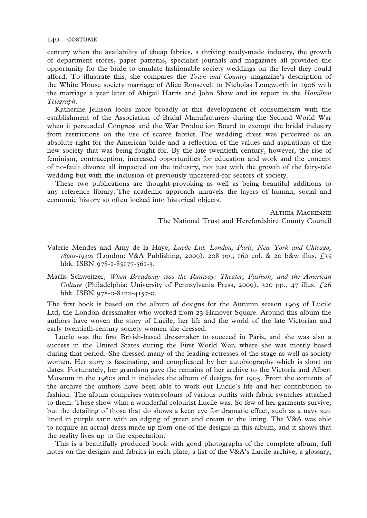century when the availability of cheap fabrics, a thriving ready-made industry, the growth of department stores, paper patterns, specialist journals and magazines all provided the opportunity for the bride to emulate fashionable society weddings on the level they could afford. To illustrate this, she compares the *Town and Country* magazine's description of the White House society marriage of Alice Roosevelt to Nicholas Longworth in 1906 with the marriage a year later of Abigail Harris and John Shaw and its report in the *Hamilton Telegraph*.

Katherine Jellison looks more broadly at this development of consumerism with the establishment of the Association of Bridal Manufacturers during the Second World War when it persuaded Congress and the War Production Board to exempt the bridal industry from restrictions on the use of scarce fabrics. The wedding dress was perceived as an absolute right for the American bride and a reflection of the values and aspirations of the new society that was being fought for. By the late twentieth century, however, the rise of feminism, contraception, increased opportunities for education and work and the concept of no-fault divorce all impacted on the industry, not just with the growth of the fairy-tale wedding but with the inclusion of previously uncatered-for sectors of society.

These two publications are thought-provoking as well as being beautiful additions to any reference library. The academic approach unravels the layers of human, social and economic history so often locked into historical objects.

> **ALTHEA MACKENZIE** The National Trust and Herefordshire County Council

- Valerie Mendes and Amy de la Haye, *Lucile Ltd. London, Paris, New York and Chicago, 1890s-1930s* (London: V&A Publishing, 2009). 208 pp., 160 col. & 20 b&w illus. £35 hbk. ISBN 978-1-85177-561-3.
- Marlis Schweitzer, *When Broadway was the Runway: Theater, Fashion, and the American Culture* (Philadelphia: University of Pennsylvania Press, 2009). 320 pp., 47 illus. £26 hbk. ISBN 978-0-8122-4157-0.

The first book is based on the album of designs for the Autumn season 1905 of Lucile Ltd, the London dressmaker who worked from 23 Hanover Square. Around this album the authors have woven the story of Lucile, her life and the world of the late Victorian and early twentieth-century society women she dressed.

Lucile was the first British-based dressmaker to succeed in Paris, and she was also a success in the United States during the First World War, where she was mostly based during that period. She dressed many of the leading actresses of the stage as well as society women. Her story is fascinating, and complicated by her autobiography which is short on dates. Fortunately, her grandson gave the remains of her archive to the Victoria and Albert Museum in the 1960s and it includes the album of designs for 1905. From the contents of the archive the authors have been able to work out Lucile's life and her contribution to fashion. The album comprises watercolours of various outfits with fabric swatches attached to them. These show what a wonderful colourist Lucile was. So few of her garments survive, but the detailing of those that do shows a keen eye for dramatic effect, such as a navy suit lined in purple satin with an edging of green and cream to the lining. The V&A was able to acquire an actual dress made up from one of the designs in this album, and it shows that the reality lives up to the expectation.

This is a beautifully produced book with good photographs of the complete album, full notes on the designs and fabrics in each plate, a list of the V&A's Lucile archive, a glossary,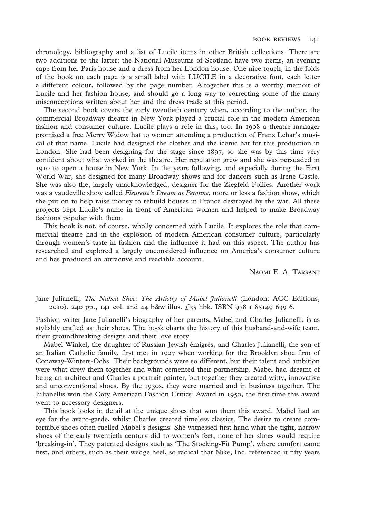chronology, bibliography and a list of Lucile items in other British collections. There are two additions to the latter: the National Museums of Scotland have two items, an evening cape from her Paris house and a dress from her London house. One nice touch, in the folds of the book on each page is a small label with LUCILE in a decorative font, each letter a different colour, followed by the page number. Altogether this is a worthy memoir of Lucile and her fashion house, and should go a long way to correcting some of the many misconceptions written about her and the dress trade at this period.

The second book covers the early twentieth century when, according to the author, the commercial Broadway theatre in New York played a crucial role in the modern American fashion and consumer culture. Lucile plays a role in this, too. In 1908 a theatre manager promised a free Merry Widow hat to women attending a production of Franz Lehar's musical of that name. Lucile had designed the clothes and the iconic hat for this production in London. She had been designing for the stage since 1897, so she was by this time very confident about what worked in the theatre. Her reputation grew and she was persuaded in 1910 to open a house in New York. In the years following, and especially during the First World War, she designed for many Broadway shows and for dancers such as Irene Castle. She was also the, largely unacknowledged, designer for the Ziegfeld Follies. Another work was a vaudeville show called *Fleurette's Dream at Peronne*, more or less a fashion show, which she put on to help raise money to rebuild houses in France destroyed by the war. All these projects kept Lucile's name in front of American women and helped to make Broadway fashions popular with them.

This book is not, of course, wholly concerned with Lucile. It explores the role that commercial theatre had in the explosion of modern American consumer culture, particularly through women's taste in fashion and the influence it had on this aspect. The author has researched and explored a largely unconsidered influence on America's consumer culture and has produced an attractive and readable account.

NAOMI E. A. TARRANT

Jane Julianelli, *The Naked Shoe: The Artistry of Mabel Julianelli* (London: ACC Editions, 2010). 240 pp., 141 col. and 44 b&w illus. £35 hbk. ISBN 978 1 85149 639 6.

Fashion writer Jane Julianelli's biography of her parents, Mabel and Charles Julianelli, is as stylishly crafted as their shoes. The book charts the history of this husband-and-wife team, their groundbreaking designs and their love story.

Mabel Winkel, the daughter of Russian Jewish émigrés, and Charles Julianelli, the son of an Italian Catholic family, first met in 1927 when working for the Brooklyn shoe firm of Conaway-Winters-Ochs. Their backgrounds were so different, but their talent and ambition were what drew them together and what cemented their partnership. Mabel had dreamt of being an architect and Charles a portrait painter, but together they created witty, innovative and unconventional shoes. By the 1930s, they were married and in business together. The Julianellis won the Coty American Fashion Critics' Award in 1950, the first time this award went to accessory designers.

This book looks in detail at the unique shoes that won them this award. Mabel had an eye for the avant-garde, whilst Charles created timeless classics. The desire to create comfortable shoes often fuelled Mabel's designs. She witnessed first hand what the tight, narrow shoes of the early twentieth century did to women's feet; none of her shoes would require 'breaking-in'. They patented designs such as 'The Stocking-Fit Pump', where comfort came first, and others, such as their wedge heel, so radical that Nike, Inc. referenced it fifty years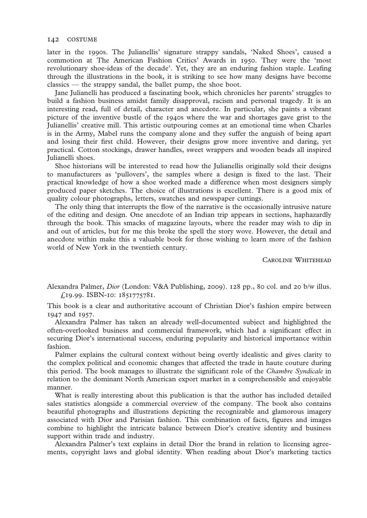later in the 1990s. The Julianellis' signature strappy sandals, 'Naked Shoes', caused a commotion at The American Fashion Critics' Awards in 1950. They were the 'most revolutionary shoe-ideas of the decade'. Yet, they are an enduring fashion staple. Leafing through the illustrations in the book, it is striking to see how many designs have become classics — the strappy sandal, the ballet pump, the shoe boot.

Jane Julianelli has produced a fascinating book, which chronicles her parents' struggles to build a fashion business amidst family disapproval, racism and personal tragedy. It is an interesting read, full of detail, character and anecdote. In particular, she paints a vibrant picture of the inventive bustle of the 1940s where the war and shortages gave grist to the Julianellis' creative mill. This artistic outpouring comes at an emotional time when Charles is in the Army, Mabel runs the company alone and they suffer the anguish of being apart and losing their first child. However, their designs grow more inventive and daring, yet practical. Cotton stockings, drawer handles, sweet wrappers and wooden beads all inspired Julianelli shoes.

Shoe historians will be interested to read how the Julianellis originally sold their designs to manufacturers as 'pullovers', the samples where a design is fixed to the last. Their practical knowledge of how a shoe worked made a difference when most designers simply produced paper sketches. The choice of illustrations is excellent. There is a good mix of quality colour photographs, letters, swatches and newspaper cuttings.

The only thing that interrupts the flow of the narrative is the occasionally intrusive nature of the editing and design. One anecdote of an Indian trip appears in sections, haphazardly through the book. This smacks of magazine layouts, where the reader may wish to dip in and out of articles, but for me this broke the spell the story wove. However, the detail and anecdote within make this a valuable book for those wishing to learn more of the fashion world of New York in the twentieth century.

CAROLINE WHITEHEAD

Alexandra Palmer, *Dior* (London: V&A Publishing, 2009). 128 pp., 80 col. and 20 b/w illus. £19.99. ISBN-10: 1851775781.

This book is a clear and authoritative account of Christian Dior's fashion empire between 1947 and 1957.

Alexandra Palmer has taken an already well-documented subject and highlighted the often-overlooked business and commercial framework, which had a significant effect in securing Dior's international success, enduring popularity and historical importance within fashion.

Palmer explains the cultural context without being overtly idealistic and gives clarity to the complex political and economic changes that affected the trade in haute couture during this period. The book manages to illustrate the significant role of the *Chambre Syndicale* in relation to the dominant North American export market in a comprehensible and enjoyable manner.

What is really interesting about this publication is that the author has included detailed sales statistics alongside a commercial overview of the company. The book also contains beautiful photographs and illustrations depicting the recognizable and glamorous imagery associated with Dior and Parisian fashion. This combination of facts, figures and images combine to highlight the intricate balance between Dior's creative identity and business support within trade and industry.

Alexandra Palmer's text explains in detail Dior the brand in relation to licensing agreements, copyright laws and global identity. When reading about Dior's marketing tactics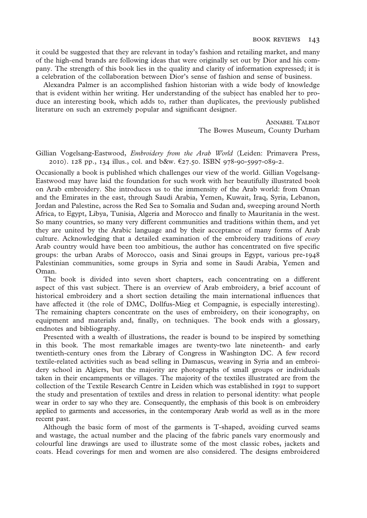it could be suggested that they are relevant in today's fashion and retailing market, and many of the high-end brands are following ideas that were originally set out by Dior and his company. The strength of this book lies in the quality and clarity of information expressed; it is a celebration of the collaboration between Dior's sense of fashion and sense of business.

Alexandra Palmer is an accomplished fashion historian with a wide body of knowledge that is evident within her writing. Her understanding of the subject has enabled her to produce an interesting book, which adds to, rather than duplicates, the previously published literature on such an extremely popular and significant designer.

> ANNABEL TALBOT The Bowes Museum, County Durham

## Gillian Vogelsang-Eastwood, *Embroidery from the Arab World* (Leiden: Primavera Press, 2010). 128 pp., 134 illus., col. and b&w. €27.50. ISBN 978-90-5997-089-2.

Occasionally a book is published which challenges our view of the world. Gillian Vogelsang-Eastwood may have laid the foundation for such work with her beautifully illustrated book on Arab embroidery. She introduces us to the immensity of the Arab world: from Oman and the Emirates in the east, through Saudi Arabia, Yemen, Kuwait, Iraq, Syria, Lebanon, Jordan and Palestine, across the Red Sea to Somalia and Sudan and, sweeping around North Africa, to Egypt, Libya, Tunisia, Algeria and Morocco and finally to Mauritania in the west. So many countries, so many very different communities and traditions within them, and yet they are united by the Arabic language and by their acceptance of many forms of Arab culture. Acknowledging that a detailed examination of the embroidery traditions of *every* Arab country would have been too ambitious, the author has concentrated on five specific groups: the urban Arabs of Morocco, oasis and Sinai groups in Egypt, various pre-1948 Palestinian communities, some groups in Syria and some in Saudi Arabia, Yemen and Oman.

The book is divided into seven short chapters, each concentrating on a different aspect of this vast subject. There is an overview of Arab embroidery, a brief account of historical embroidery and a short section detailing the main international influences that have affected it (the role of DMC, Dollfus-Mieg et Compagnie, is especially interesting). The remaining chapters concentrate on the uses of embroidery, on their iconography, on equipment and materials and, finally, on techniques. The book ends with a glossary, endnotes and bibliography.

Presented with a wealth of illustrations, the reader is bound to be inspired by something in this book. The most remarkable images are twenty-two late nineteenth- and early twentieth-century ones from the Library of Congress in Washington DC. A few record textile-related activities such as bead selling in Damascus, weaving in Syria and an embroidery school in Algiers, but the majority are photographs of small groups or individuals taken in their encampments or villages. The majority of the textiles illustrated are from the collection of the Textile Research Centre in Leiden which was established in 1991 to support the study and presentation of textiles and dress in relation to personal identity: what people wear in order to say who they are. Consequently, the emphasis of this book is on embroidery applied to garments and accessories, in the contemporary Arab world as well as in the more recent past.

Although the basic form of most of the garments is T-shaped, avoiding curved seams and wastage, the actual number and the placing of the fabric panels vary enormously and colourful line drawings are used to illustrate some of the most classic robes, jackets and coats. Head coverings for men and women are also considered. The designs embroidered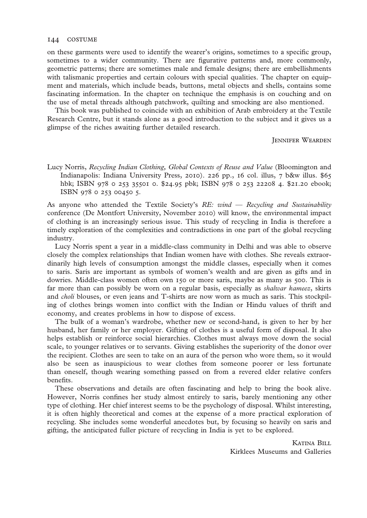on these garments were used to identify the wearer's origins, sometimes to a specific group, sometimes to a wider community. There are figurative patterns and, more commonly, geometric patterns; there are sometimes male and female designs; there are embellishments with talismanic properties and certain colours with special qualities. The chapter on equipment and materials, which include beads, buttons, metal objects and shells, contains some fascinating information. In the chapter on technique the emphasis is on couching and on the use of metal threads although patchwork, quilting and smocking are also mentioned.

This book was published to coincide with an exhibition of Arab embroidery at the Textile Research Centre, but it stands alone as a good introduction to the subject and it gives us a glimpse of the riches awaiting further detailed research.

**JENNIFER WEARDEN** 

Lucy Norris, *Recycling Indian Clothing, Global Contexts of Reuse and Value* (Bloomington and Indianapolis: Indiana University Press, 2010). 226 pp., 16 col. illus, 7 b&w illus. \$65 hbk; ISBN 978 0 253 35501 0. \$24.95 pbk; ISBN 978 0 253 22208 4. \$21.20 ebook; ISBN 978 0 253 00450 5.

As anyone who attended the Textile Society's *RE: wind — Recycling and Sustainability* conference (De Montfort University, November 2010) will know, the environmental impact of clothing is an increasingly serious issue. This study of recycling in India is therefore a timely exploration of the complexities and contradictions in one part of the global recycling industry.

Lucy Norris spent a year in a middle-class community in Delhi and was able to observe closely the complex relationships that Indian women have with clothes. She reveals extraordinarily high levels of consumption amongst the middle classes, especially when it comes to saris. Saris are important as symbols of women's wealth and are given as gifts and in dowries. Middle-class women often own 150 or more saris, maybe as many as 500. This is far more than can possibly be worn on a regular basis, especially as *shalwar kameez*, skirts and *choli* blouses, or even jeans and T-shirts are now worn as much as saris. This stockpiling of clothes brings women into conflict with the Indian or Hindu values of thrift and economy, and creates problems in how to dispose of excess.

The bulk of a woman's wardrobe, whether new or second-hand, is given to her by her husband, her family or her employer. Gifting of clothes is a useful form of disposal. It also helps establish or reinforce social hierarchies. Clothes must always move down the social scale, to younger relatives or to servants. Giving establishes the superiority of the donor over the recipient. Clothes are seen to take on an aura of the person who wore them, so it would also be seen as inauspicious to wear clothes from someone poorer or less fortunate than oneself, though wearing something passed on from a revered elder relative confers benefits.

These observations and details are often fascinating and help to bring the book alive. However, Norris confines her study almost entirely to saris, barely mentioning any other type of clothing. Her chief interest seems to be the psychology of disposal. Whilst interesting, it is often highly theoretical and comes at the expense of a more practical exploration of recycling. She includes some wonderful anecdotes but, by focusing so heavily on saris and gifting, the anticipated fuller picture of recycling in India is yet to be explored.

> KATINA BILL Kirklees Museums and Galleries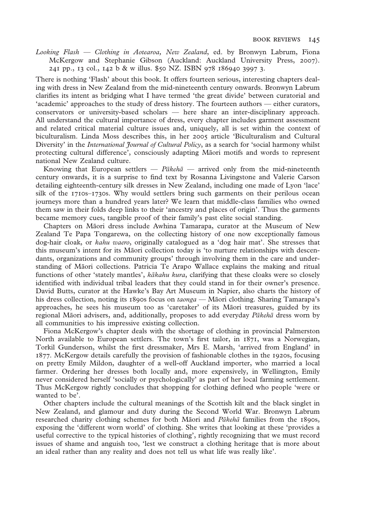*Looking Flash — Clothing in Aotearoa, New Zealand*, ed. by Bronwyn Labrum, Fiona Mc Kergow and Stephanie Gibson (Auckland: Auckland University Press, 2007). 241 pp., 13 col., 142 b & w illus. \$50 NZ. ISBN 978 186940 3997 3.

There is nothing 'Flash' about this book. It offers fourteen serious, interesting chapters dealing with dress in New Zealand from the mid-nineteenth century onwards. Bronwyn Labrum clarifies its intent as bridging what I have termed 'the great divide' between curatorial and 'academic' approaches to the study of dress history. The fourteen authors — either curators, conservators or university-based scholars — here share an inter-disciplinary approach. All understand the cultural importance of dress, every chapter includes garment assessment and related critical material culture issues and, uniquely, all is set within the context of biculturalism. Linda Moss describes this, in her 2005 article 'Biculturalism and Cultural Diversity' in the *International Journal of Cultural Policy*, as a search for 'social harmony whilst protecting cultural difference', consciously adapting Māori motifs and words to represent national New Zealand culture.

Knowing that European settlers — *Pākehā —* arrived only from the mid-nineteenth century onwards, it is a surprise to find text by Rosanna Livingstone and Valerie Carson detailing eighteenth-century silk dresses in New Zealand, including one made of Lyon 'lace' silk of the 1710s–1730s. Why would settlers bring such garments on their perilous ocean journeys more than a hundred years later? We learn that middle-class families who owned them saw in their folds deep links to their 'ancestry and places of origin'. Thus the garments became memory cues, tangible proof of their family's past elite social standing.

Chapters on Māori dress include Awhina Tamarapa, curator at the Museum of New Zealand Te Papa Tongarewa, on the collecting history of one now exceptionally famous dog-hair cloak, or *kahu waero*, originally catalogued as a 'dog hair mat'. She stresses that this museum's intent for its Māori collection today is 'to nurture relationships with descendants, organizations and community groups' through involving them in the care and understanding of Māori collections. Patricia Te Arapo Wallace explains the making and ritual functions of other 'stately mantles', *kākahu kura*, clarifying that these cloaks were so closely identified with individual tribal leaders that they could stand in for their owner's presence. David Butts, curator at the Hawke's Bay Art Museum in Napier, also charts the history of his dress collection, noting its 1890s focus on *taonga —* Māori clothing. Sharing Tamarapa's approaches, he sees his museum too as 'caretaker' of its Māori treasures, guided by its regional Māori advisers, and, additionally, proposes to add everyday *Pākehā* dress worn by all communities to his impressive existing collection.

Fiona McKergow's chapter deals with the shortage of clothing in provincial Palmerston North available to European settlers. The town's first tailor, in 1871, was a Norwegian, Torkil Gunderson, whilst the first dressmaker, Mrs E. Marsh, 'arrived from England' in 1877. McKergow details carefully the provision of fashionable clothes in the 1920s, focusing on pretty Emily Mildon, daughter of a well-off Auckland importer, who married a local farmer. Ordering her dresses both locally and, more expensively, in Wellington, Emily never considered herself 'socially or psychologically' as part of her local farming settlement. Thus McKergow rightly concludes that shopping for clothing defined who people 'were or wanted to be'.

Other chapters include the cultural meanings of the Scottish kilt and the black singlet in New Zealand, and glamour and duty during the Second World War. Bronwyn Labrum researched charity clothing schemes for both Māori and *Pākehā* families from the 1890s, exposing the 'different worn world' of clothing. She writes that looking at these 'provides a useful corrective to the typical histories of clothing', rightly recognizing that we must record issues of shame and anguish too, 'lest we construct a clothing heritage that is more about an ideal rather than any reality and does not tell us what life was really like'.